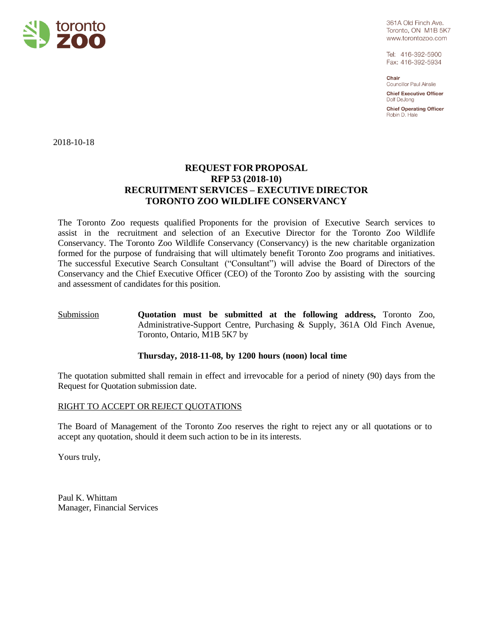

361A Old Finch Ave. Toronto, ON M1B 5K7 www.torontozoo.com

Tel: 416-392-5900 Fax: 416-392-5934

Chair Councillor Paul Ainslie

**Chief Executive Officer** Dolf DeJong

**Chief Operating Officer** Robin D. Hale

2018-10-18

## **REQUEST FOR PROPOSAL RFP 53 (2018-10) RECRUITMENT SERVICES – EXECUTIVE DIRECTOR TORONTO ZOO WILDLIFE CONSERVANCY**

The Toronto Zoo requests qualified Proponents for the provision of Executive Search services to assist in the recruitment and selection of an Executive Director for the Toronto Zoo Wildlife Conservancy. The Toronto Zoo Wildlife Conservancy (Conservancy) is the new charitable organization formed for the purpose of fundraising that will ultimately benefit Toronto Zoo programs and initiatives. The successful Executive Search Consultant ("Consultant") will advise the Board of Directors of the Conservancy and the Chief Executive Officer (CEO) of the Toronto Zoo by assisting with the sourcing and assessment of candidates for this position.

### Submission **Quotation must be submitted at the following address,** Toronto Zoo, Administrative-Support Centre, Purchasing & Supply, 361A Old Finch Avenue, Toronto, Ontario, M1B 5K7 by

### **Thursday, 2018-11-08, by 1200 hours (noon) local time**

The quotation submitted shall remain in effect and irrevocable for a period of ninety (90) days from the Request for Quotation submission date.

### RIGHT TO ACCEPT OR REJECT QUOTATIONS

The Board of Management of the Toronto Zoo reserves the right to reject any or all quotations or to accept any quotation, should it deem such action to be in its interests.

Yours truly,

Paul K. Whittam Manager, Financial Services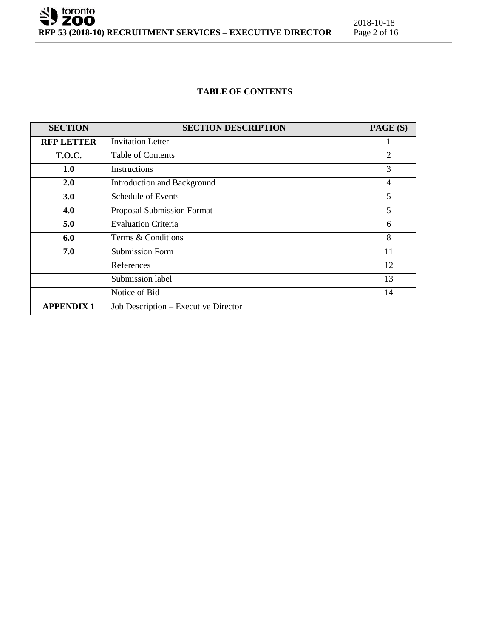

#### **TABLE OF CONTENTS**

| <b>SECTION</b>    | <b>SECTION DESCRIPTION</b>           | PAGE (S)       |
|-------------------|--------------------------------------|----------------|
| <b>RFP LETTER</b> | <b>Invitation Letter</b>             | 1              |
| <b>T.O.C.</b>     | <b>Table of Contents</b>             | $\overline{2}$ |
| 1.0               | Instructions                         | 3              |
| <b>2.0</b>        | Introduction and Background          | $\overline{4}$ |
| 3.0               | <b>Schedule of Events</b>            | 5              |
| 4.0               | Proposal Submission Format           | 5              |
| 5.0               | <b>Evaluation Criteria</b>           | 6              |
| 6.0               | Terms & Conditions                   | 8              |
| 7.0               | <b>Submission Form</b>               | 11             |
|                   | References                           | 12             |
|                   | Submission label                     | 13             |
|                   | Notice of Bid                        | 14             |
| <b>APPENDIX 1</b> | Job Description - Executive Director |                |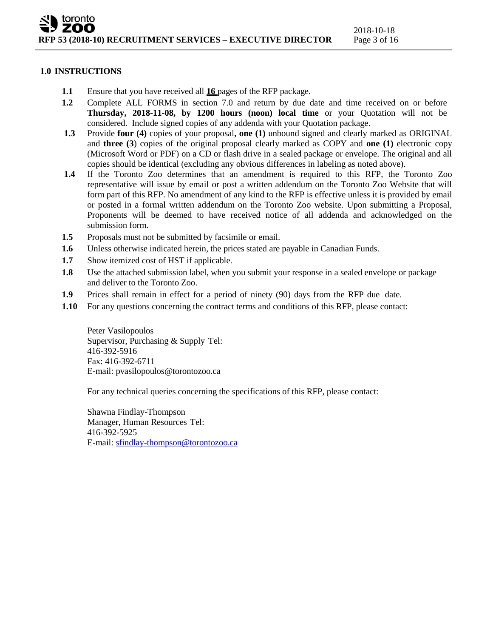#### **1.0 INSTRUCTIONS**

- **1.1** Ensure that you have received all **16** pages of the RFP package.
- **1.2** Complete ALL FORMS in section 7.0 and return by due date and time received on or before **Thursday, 2018-11-08, by 1200 hours (noon) local time** or your Quotation will not be considered. Include signed copies of any addenda with your Quotation package.
- **1.3** Provide **four (4)** copies of your proposal**, one (1)** unbound signed and clearly marked as ORIGINAL and **three (3**) copies of the original proposal clearly marked as COPY and **one (1)** electronic copy (Microsoft Word or PDF) on a CD or flash drive in a sealed package or envelope. The original and all copies should be identical (excluding any obvious differences in labeling as noted above).
- **1.4** If the Toronto Zoo determines that an amendment is required to this RFP, the Toronto Zoo representative will issue by email or post a written addendum on the Toronto Zoo Website that will form part of this RFP. No amendment of any kind to the RFP is effective unless it is provided by email or posted in a formal written addendum on the Toronto Zoo website. Upon submitting a Proposal, Proponents will be deemed to have received notice of all addenda and acknowledged on the submission form.
- **1.5** Proposals must not be submitted by facsimile or email.
- **1.6** Unless otherwise indicated herein, the prices stated are payable in Canadian Funds.
- **1.7** Show itemized cost of HST if applicable.
- **1.8** Use the attached submission label, when you submit your response in a sealed envelope or package and deliver to the Toronto Zoo.
- **1.9** Prices shall remain in effect for a period of ninety (90) days from the RFP due date.
- **1.10** For any questions concerning the contract terms and conditions of this RFP, please contact:

Peter Vasilopoulos Supervisor, Purchasing & Supply Tel: 416-392-5916 Fax: 416-392-6711 E-mail: [pvasilopoulos@torontozoo.ca](mailto:pvasilopoulos@torontozoo.ca)

For any technical queries concerning the specifications of this RFP, please contact:

Shawna Findlay-Thompson Manager, Human Resources Tel: 416-392-5925 E-mail: [sfindlay-thompson@torontozoo.ca](mailto:sfindlay-thompson@torontozoo.ca)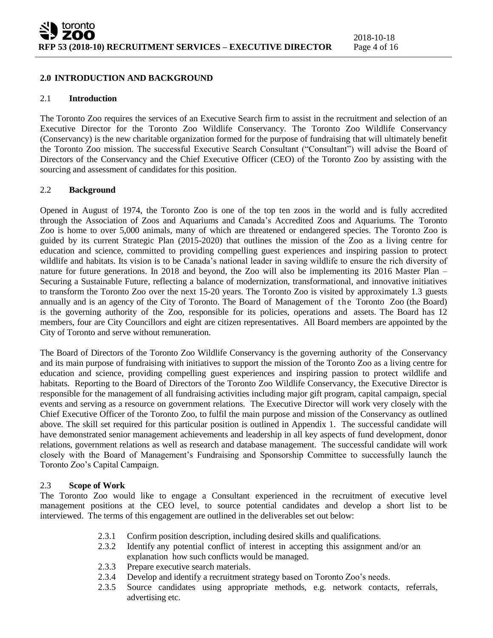#### **2.0 INTRODUCTION AND BACKGROUND**

#### 2.1 **Introduction**

The Toronto Zoo requires the services of an Executive Search firm to assist in the recruitment and selection of an Executive Director for the Toronto Zoo Wildlife Conservancy. The Toronto Zoo Wildlife Conservancy (Conservancy) is the new charitable organization formed for the purpose of fundraising that will ultimately benefit the Toronto Zoo mission. The successful Executive Search Consultant ("Consultant") will advise the Board of Directors of the Conservancy and the Chief Executive Officer (CEO) of the Toronto Zoo by assisting with the sourcing and assessment of candidates for this position.

#### 2.2 **Background**

Opened in August of 1974, the Toronto Zoo is one of the top ten zoos in the world and is fully accredited through the Association of Zoos and Aquariums and Canada's Accredited Zoos and Aquariums. The Toronto Zoo is home to over 5,000 animals, many of which are threatened or endangered species. The Toronto Zoo is guided by its current Strategic Plan (2015-2020) that outlines the mission of the Zoo as a living centre for education and science, committed to providing compelling guest experiences and inspiring passion to protect wildlife and habitats. Its vision is to be Canada's national leader in saving wildlife to ensure the rich diversity of nature for future generations. In 2018 and beyond, the Zoo will also be implementing its 2016 Master Plan – Securing a Sustainable Future, reflecting a balance of modernization, transformational, and innovative initiatives to transform the Toronto Zoo over the next 15-20 years. The Toronto Zoo is visited by approximately 1.3 guests annually and is an agency of the City of Toronto. The Board of Management of the Toronto Zoo (the Board) is the governing authority of the Zoo, responsible for its policies, operations and assets. The Board has 12 members, four are City Councillors and eight are citizen representatives. All Board members are appointed by the City of Toronto and serve without remuneration.

The Board of Directors of the Toronto Zoo Wildlife Conservancy is the governing authority of the Conservancy and its main purpose of fundraising with initiatives to support the mission of the Toronto Zoo as a living centre for education and science, providing compelling guest experiences and inspiring passion to protect wildlife and habitats. Reporting to the Board of Directors of the Toronto Zoo Wildlife Conservancy, the Executive Director is responsible for the management of all fundraising activities including major gift program, capital campaign, special events and serving as a resource on government relations. The Executive Director will work very closely with the Chief Executive Officer of the Toronto Zoo, to fulfil the main purpose and mission of the Conservancy as outlined above. The skill set required for this particular position is outlined in Appendix 1. The successful candidate will have demonstrated senior management achievements and leadership in all key aspects of fund development, donor relations, government relations as well as research and database management. The successful candidate will work closely with the Board of Management's Fundraising and Sponsorship Committee to successfully launch the Toronto Zoo's Capital Campaign.

### 2.3 **Scope of Work**

The Toronto Zoo would like to engage a Consultant experienced in the recruitment of executive level management positions at the CEO level, to source potential candidates and develop a short list to be interviewed. The terms of this engagement are outlined in the deliverables set out below:

- 2.3.1 Confirm position description, including desired skills and qualifications.
- 2.3.2 Identify any potential conflict of interest in accepting this assignment and/or an explanation how such conflicts would be managed.
- 2.3.3 Prepare executive search materials.
- 2.3.4 Develop and identify a recruitment strategy based on Toronto Zoo's needs.
- 2.3.5 Source candidates using appropriate methods, e.g. network contacts, referrals, advertising etc.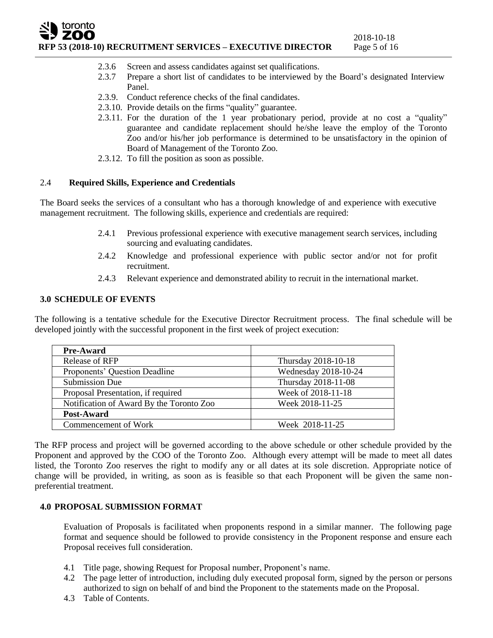# toronto **RFP 53 (2018-10) RECRUITMENT SERVICES – EXECUTIVE DIRECTOR** Page 5 of 16

- 2.3.6 Screen and assess candidates against set qualifications.
- 2.3.7 Prepare a short list of candidates to be interviewed by the Board's designated Interview Panel.
- 2.3.9. Conduct reference checks of the final candidates.
- 2.3.10. Provide details on the firms "quality" guarantee.
- 2.3.11. For the duration of the 1 year probationary period, provide at no cost a "quality" guarantee and candidate replacement should he/she leave the employ of the Toronto Zoo and/or his/her job performance is determined to be unsatisfactory in the opinion of Board of Management of the Toronto Zoo.
- 2.3.12. To fill the position as soon as possible.

# 2.4 **Required Skills, Experience and Credentials**

The Board seeks the services of a consultant who has a thorough knowledge of and experience with executive management recruitment. The following skills, experience and credentials are required:

- 2.4.1 Previous professional experience with executive management search services, including sourcing and evaluating candidates.
- 2.4.2 Knowledge and professional experience with public sector and/or not for profit recruitment.
- 2.4.3 Relevant experience and demonstrated ability to recruit in the international market.

# **3.0 SCHEDULE OF EVENTS**

The following is a tentative schedule for the Executive Director Recruitment process. The final schedule will be developed jointly with the successful proponent in the first week of project execution:

| <b>Pre-Award</b>                         |                      |
|------------------------------------------|----------------------|
| <b>Release of RFP</b>                    | Thursday 2018-10-18  |
| Proponents' Question Deadline            | Wednesday 2018-10-24 |
| <b>Submission Due</b>                    | Thursday 2018-11-08  |
| Proposal Presentation, if required       | Week of 2018-11-18   |
| Notification of Award By the Toronto Zoo | Week 2018-11-25      |
| Post-Award                               |                      |
| Commencement of Work                     | Week 2018-11-25      |

The RFP process and project will be governed according to the above schedule or other schedule provided by the Proponent and approved by the COO of the Toronto Zoo. Although every attempt will be made to meet all dates listed, the Toronto Zoo reserves the right to modify any or all dates at its sole discretion. Appropriate notice of change will be provided, in writing, as soon as is feasible so that each Proponent will be given the same nonpreferential treatment.

# **4.0 PROPOSAL SUBMISSION FORMAT**

Evaluation of Proposals is facilitated when proponents respond in a similar manner. The following page format and sequence should be followed to provide consistency in the Proponent response and ensure each Proposal receives full consideration.

- 4.1 Title page, showing Request for Proposal number, Proponent's name.
- 4.2 The page letter of introduction, including duly executed proposal form, signed by the person or persons authorized to sign on behalf of and bind the Proponent to the statements made on the Proposal.
- 4.3 Table of Contents.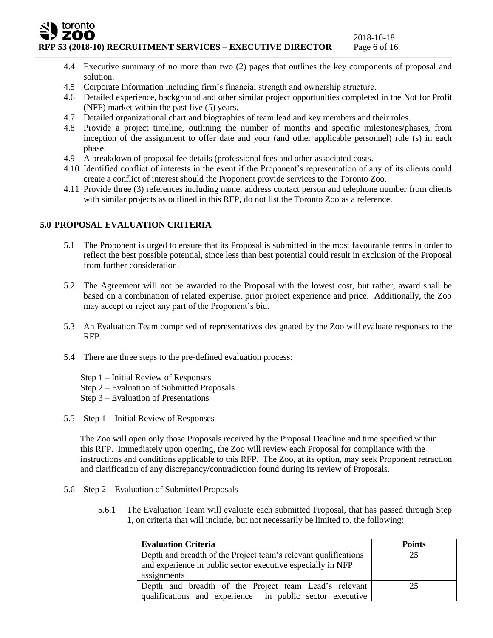### toronto zoo **RFP 53 (2018-10) RECRUITMENT SERVICES – EXECUTIVE DIRECTOR** Page 6 of 16

- 2018-10-18
- 4.4 Executive summary of no more than two (2) pages that outlines the key components of proposal and solution.
- 4.5 Corporate Information including firm's financial strength and ownership structure.
- 4.6 Detailed experience, background and other similar project opportunities completed in the Not for Profit (NFP) market within the past five (5) years.
- 4.7 Detailed organizational chart and biographies of team lead and key members and their roles.
- 4.8 Provide a project timeline, outlining the number of months and specific milestones/phases, from inception of the assignment to offer date and your (and other applicable personnel) role (s) in each phase.
- 4.9 A breakdown of proposal fee details (professional fees and other associated costs.
- 4.10 Identified conflict of interests in the event if the Proponent's representation of any of its clients could create a conflict of interest should the Proponent provide services to the Toronto Zoo.
- 4.11 Provide three (3) references including name, address contact person and telephone number from clients with similar projects as outlined in this RFP, do not list the Toronto Zoo as a reference.

# **5.0 PROPOSAL EVALUATION CRITERIA**

- 5.1 The Proponent is urged to ensure that its Proposal is submitted in the most favourable terms in order to reflect the best possible potential, since less than best potential could result in exclusion of the Proposal from further consideration.
- 5.2 The Agreement will not be awarded to the Proposal with the lowest cost, but rather, award shall be based on a combination of related expertise, prior project experience and price. Additionally, the Zoo may accept or reject any part of the Proponent's bid.
- 5.3 An Evaluation Team comprised of representatives designated by the Zoo will evaluate responses to the RFP.
- 5.4 There are three steps to the pre-defined evaluation process:
	- Step 1 Initial Review of Responses
	- Step 2 Evaluation of Submitted Proposals
	- Step 3 Evaluation of Presentations
- 5.5 Step 1 Initial Review of Responses

The Zoo will open only those Proposals received by the Proposal Deadline and time specified within this RFP. Immediately upon opening, the Zoo will review each Proposal for compliance with the instructions and conditions applicable to this RFP. The Zoo, at its option, may seek Proponent retraction and clarification of any discrepancy/contradiction found during its review of Proposals.

- 5.6 Step 2 Evaluation of Submitted Proposals
	- 5.6.1 The Evaluation Team will evaluate each submitted Proposal, that has passed through Step 1, on criteria that will include, but not necessarily be limited to, the following:

| <b>Evaluation Criteria</b>                                      | <b>Points</b> |
|-----------------------------------------------------------------|---------------|
| Depth and breadth of the Project team's relevant qualifications | 25            |
| and experience in public sector executive especially in NFP     |               |
| assignments                                                     |               |
| Depth and breadth of the Project team Lead's relevant           | 25            |
| qualifications and experience in public sector executive        |               |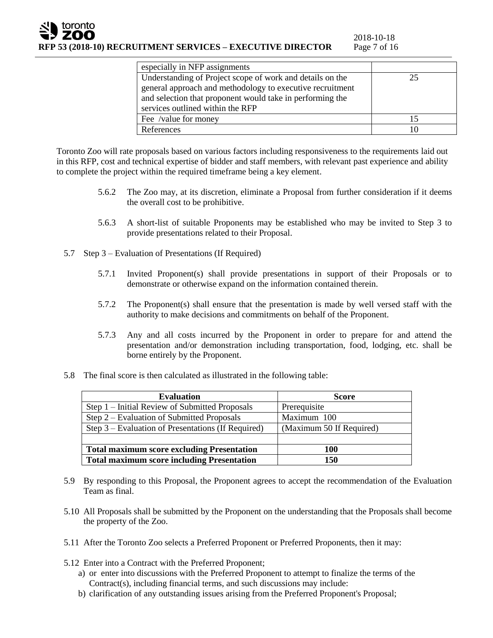| especially in NFP assignments                             |    |
|-----------------------------------------------------------|----|
| Understanding of Project scope of work and details on the | 25 |
| general approach and methodology to executive recruitment |    |
| and selection that proponent would take in performing the |    |
| services outlined within the RFP                          |    |
| Fee /value for money                                      | 15 |
| References                                                | 10 |
|                                                           |    |

Toronto Zoo will rate proposals based on various factors including responsiveness to the requirements laid out in this RFP, cost and technical expertise of bidder and staff members, with relevant past experience and ability to complete the project within the required timeframe being a key element.

- 5.6.2 The Zoo may, at its discretion, eliminate a Proposal from further consideration if it deems the overall cost to be prohibitive.
- 5.6.3 A short-list of suitable Proponents may be established who may be invited to Step 3 to provide presentations related to their Proposal.
- 5.7 Step 3 Evaluation of Presentations (If Required)
	- 5.7.1 Invited Proponent(s) shall provide presentations in support of their Proposals or to demonstrate or otherwise expand on the information contained therein.
	- 5.7.2 The Proponent(s) shall ensure that the presentation is made by well versed staff with the authority to make decisions and commitments on behalf of the Proponent.
	- 5.7.3 Any and all costs incurred by the Proponent in order to prepare for and attend the presentation and/or demonstration including transportation, food, lodging, etc. shall be borne entirely by the Proponent.
- 5.8 The final score is then calculated as illustrated in the following table:

| <b>Evaluation</b>                                  | <b>Score</b>             |
|----------------------------------------------------|--------------------------|
| Step 1 – Initial Review of Submitted Proposals     | Prerequisite             |
| Step 2 – Evaluation of Submitted Proposals         | Maximum 100              |
| Step 3 – Evaluation of Presentations (If Required) | (Maximum 50 If Required) |
|                                                    |                          |
| <b>Total maximum score excluding Presentation</b>  | 100                      |
| <b>Total maximum score including Presentation</b>  | 150                      |

- 5.9 By responding to this Proposal, the Proponent agrees to accept the recommendation of the Evaluation Team as final.
- 5.10 All Proposals shall be submitted by the Proponent on the understanding that the Proposals shall become the property of the Zoo.
- 5.11 After the Toronto Zoo selects a Preferred Proponent or Preferred Proponents, then it may:
- 5.12 Enter into a Contract with the Preferred Proponent;
	- a) or enter into discussions with the Preferred Proponent to attempt to finalize the terms of the Contract(s), including financial terms, and such discussions may include:
	- b) clarification of any outstanding issues arising from the Preferred Proponent's Proposal;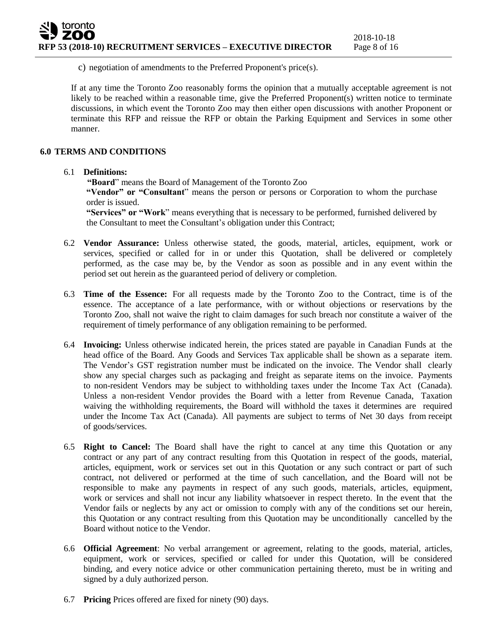c) negotiation of amendments to the Preferred Proponent's price(s).

If at any time the Toronto Zoo reasonably forms the opinion that a mutually acceptable agreement is not likely to be reached within a reasonable time, give the Preferred Proponent(s) written notice to terminate discussions, in which event the Toronto Zoo may then either open discussions with another Proponent or terminate this RFP and reissue the RFP or obtain the Parking Equipment and Services in some other manner.

#### **6.0 TERMS AND CONDITIONS**

#### 6.1 **Definitions:**

**"Board**" means the Board of Management of the Toronto Zoo

**"Vendor" or "Consultant**" means the person or persons or Corporation to whom the purchase order is issued.

**"Services" or "Work**" means everything that is necessary to be performed, furnished delivered by the Consultant to meet the Consultant's obligation under this Contract;

- 6.2 **Vendor Assurance:** Unless otherwise stated, the goods, material, articles, equipment, work or services, specified or called for in or under this Quotation, shall be delivered or completely performed, as the case may be, by the Vendor as soon as possible and in any event within the period set out herein as the guaranteed period of delivery or completion.
- 6.3 **Time of the Essence:** For all requests made by the Toronto Zoo to the Contract, time is of the essence. The acceptance of a late performance, with or without objections or reservations by the Toronto Zoo, shall not waive the right to claim damages for such breach nor constitute a waiver of the requirement of timely performance of any obligation remaining to be performed.
- 6.4 **Invoicing:** Unless otherwise indicated herein, the prices stated are payable in Canadian Funds at the head office of the Board. Any Goods and Services Tax applicable shall be shown as a separate item. The Vendor's GST registration number must be indicated on the invoice. The Vendor shall clearly show any special charges such as packaging and freight as separate items on the invoice. Payments to non-resident Vendors may be subject to withholding taxes under the Income Tax Act (Canada). Unless a non-resident Vendor provides the Board with a letter from Revenue Canada, Taxation waiving the withholding requirements, the Board will withhold the taxes it determines are required under the Income Tax Act (Canada). All payments are subject to terms of Net 30 days from receipt of goods/services.
- 6.5 **Right to Cancel:** The Board shall have the right to cancel at any time this Quotation or any contract or any part of any contract resulting from this Quotation in respect of the goods, material, articles, equipment, work or services set out in this Quotation or any such contract or part of such contract, not delivered or performed at the time of such cancellation, and the Board will not be responsible to make any payments in respect of any such goods, materials, articles, equipment, work or services and shall not incur any liability whatsoever in respect thereto. In the event that the Vendor fails or neglects by any act or omission to comply with any of the conditions set our herein, this Quotation or any contract resulting from this Quotation may be unconditionally cancelled by the Board without notice to the Vendor.
- 6.6 **Official Agreement**: No verbal arrangement or agreement, relating to the goods, material, articles, equipment, work or services, specified or called for under this Quotation, will be considered binding, and every notice advice or other communication pertaining thereto, must be in writing and signed by a duly authorized person.
- 6.7 **Pricing** Prices offered are fixed for ninety (90) days.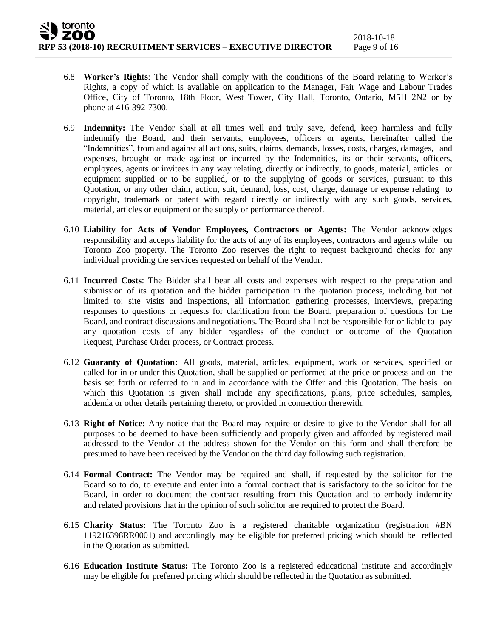- 6.8 **Worker's Rights**: The Vendor shall comply with the conditions of the Board relating to Worker's Rights, a copy of which is available on application to the Manager, Fair Wage and Labour Trades Office, City of Toronto, 18th Floor, West Tower, City Hall, Toronto, Ontario, M5H 2N2 or by phone at 416-392-7300.
- 6.9 **Indemnity:** The Vendor shall at all times well and truly save, defend, keep harmless and fully indemnify the Board, and their servants, employees, officers or agents, hereinafter called the "Indemnities", from and against all actions, suits, claims, demands, losses, costs, charges, damages, and expenses, brought or made against or incurred by the Indemnities, its or their servants, officers, employees, agents or invitees in any way relating, directly or indirectly, to goods, material, articles or equipment supplied or to be supplied, or to the supplying of goods or services, pursuant to this Quotation, or any other claim, action, suit, demand, loss, cost, charge, damage or expense relating to copyright, trademark or patent with regard directly or indirectly with any such goods, services, material, articles or equipment or the supply or performance thereof.
- 6.10 **Liability for Acts of Vendor Employees, Contractors or Agents:** The Vendor acknowledges responsibility and accepts liability for the acts of any of its employees, contractors and agents while on Toronto Zoo property. The Toronto Zoo reserves the right to request background checks for any individual providing the services requested on behalf of the Vendor.
- 6.11 **Incurred Costs**: The Bidder shall bear all costs and expenses with respect to the preparation and submission of its quotation and the bidder participation in the quotation process, including but not limited to: site visits and inspections, all information gathering processes, interviews, preparing responses to questions or requests for clarification from the Board, preparation of questions for the Board, and contract discussions and negotiations. The Board shall not be responsible for or liable to pay any quotation costs of any bidder regardless of the conduct or outcome of the Quotation Request, Purchase Order process, or Contract process.
- 6.12 **Guaranty of Quotation:** All goods, material, articles, equipment, work or services, specified or called for in or under this Quotation, shall be supplied or performed at the price or process and on the basis set forth or referred to in and in accordance with the Offer and this Quotation. The basis on which this Quotation is given shall include any specifications, plans, price schedules, samples, addenda or other details pertaining thereto, or provided in connection therewith.
- 6.13 **Right of Notice:** Any notice that the Board may require or desire to give to the Vendor shall for all purposes to be deemed to have been sufficiently and properly given and afforded by registered mail addressed to the Vendor at the address shown for the Vendor on this form and shall therefore be presumed to have been received by the Vendor on the third day following such registration.
- 6.14 **Formal Contract:** The Vendor may be required and shall, if requested by the solicitor for the Board so to do, to execute and enter into a formal contract that is satisfactory to the solicitor for the Board, in order to document the contract resulting from this Quotation and to embody indemnity and related provisions that in the opinion of such solicitor are required to protect the Board.
- 6.15 **Charity Status:** The Toronto Zoo is a registered charitable organization (registration #BN 119216398RR0001) and accordingly may be eligible for preferred pricing which should be reflected in the Quotation as submitted.
- 6.16 **Education Institute Status:** The Toronto Zoo is a registered educational institute and accordingly may be eligible for preferred pricing which should be reflected in the Quotation as submitted.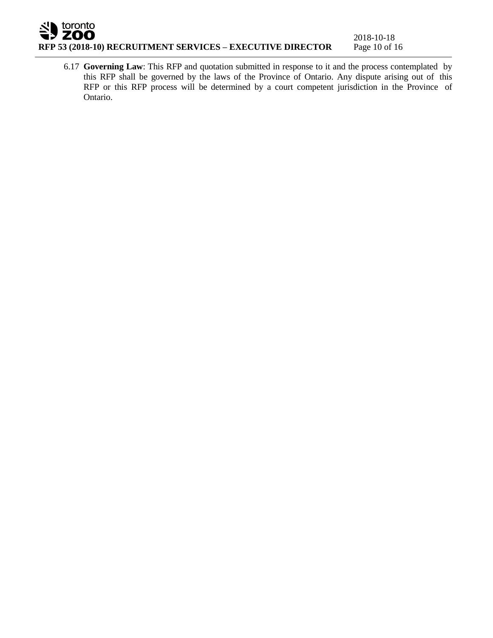# toronto 7 ZOO **RFP 53 (2018-10) RECRUITMENT SERVICES – EXECUTIVE DIRECTOR** Page 10 of 16

6.17 **Governing Law**: This RFP and quotation submitted in response to it and the process contemplated by this RFP shall be governed by the laws of the Province of Ontario. Any dispute arising out of this RFP or this RFP process will be determined by a court competent jurisdiction in the Province of Ontario.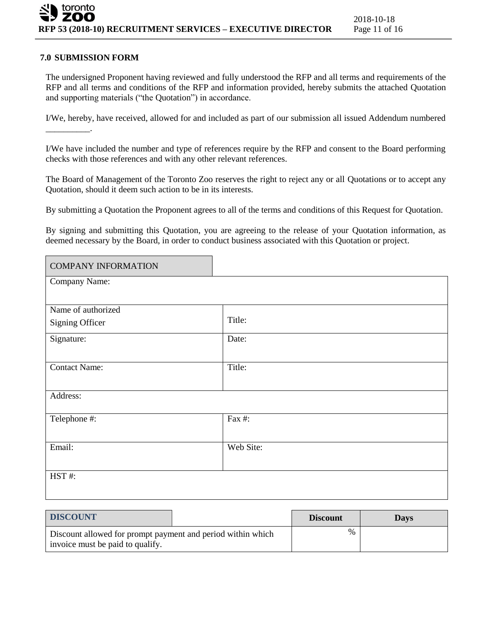### **7.0 SUBMISSION FORM**

The undersigned Proponent having reviewed and fully understood the RFP and all terms and requirements of the RFP and all terms and conditions of the RFP and information provided, hereby submits the attached Quotation and supporting materials ("the Quotation") in accordance.

I/We, hereby, have received, allowed for and included as part of our submission all issued Addendum numbered \_\_\_\_\_\_\_\_\_\_.

I/We have included the number and type of references require by the RFP and consent to the Board performing checks with those references and with any other relevant references.

The Board of Management of the Toronto Zoo reserves the right to reject any or all Quotations or to accept any Quotation, should it deem such action to be in its interests.

By submitting a Quotation the Proponent agrees to all of the terms and conditions of this Request for Quotation.

By signing and submitting this Quotation, you are agreeing to the release of your Quotation information, as deemed necessary by the Board, in order to conduct business associated with this Quotation or project.

| <b>COMPANY INFORMATION</b> |           |
|----------------------------|-----------|
| Company Name:              |           |
|                            |           |
| Name of authorized         |           |
| Signing Officer            | Title:    |
| Signature:                 | Date:     |
|                            |           |
| <b>Contact Name:</b>       | Title:    |
|                            |           |
| Address:                   |           |
|                            |           |
| Telephone #:               | Fax #:    |
|                            |           |
| Email:                     | Web Site: |
|                            |           |
| HST#:                      |           |
|                            |           |

| <b>DISCOUNT</b>                                                                                 |  | <b>Discount</b> | <b>Davs</b> |
|-------------------------------------------------------------------------------------------------|--|-----------------|-------------|
| Discount allowed for prompt payment and period within which<br>invoice must be paid to qualify. |  | $\%$            |             |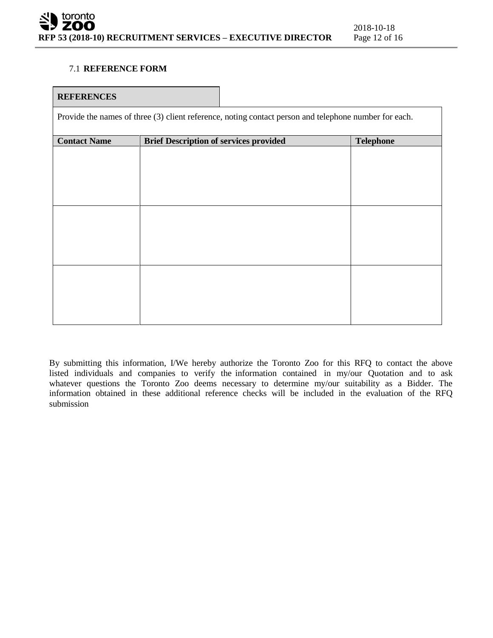## 7.1 **REFERENCE FORM**

#### **REFERENCES**

Provide the names of three (3) client reference, noting contact person and telephone number for each.

| <b>Contact Name</b> | <b>Brief Description of services provided</b> | <b>Telephone</b> |
|---------------------|-----------------------------------------------|------------------|
|                     |                                               |                  |
|                     |                                               |                  |
|                     |                                               |                  |
|                     |                                               |                  |
|                     |                                               |                  |
|                     |                                               |                  |
|                     |                                               |                  |
|                     |                                               |                  |
|                     |                                               |                  |
|                     |                                               |                  |
|                     |                                               |                  |
|                     |                                               |                  |
|                     |                                               |                  |
|                     |                                               |                  |
|                     |                                               |                  |
|                     |                                               |                  |
|                     |                                               |                  |

By submitting this information, I/We hereby authorize the Toronto Zoo for this RFQ to contact the above listed individuals and companies to verify the information contained in my/our Quotation and to ask whatever questions the Toronto Zoo deems necessary to determine my/our suitability as a Bidder. The information obtained in these additional reference checks will be included in the evaluation of the RFQ submission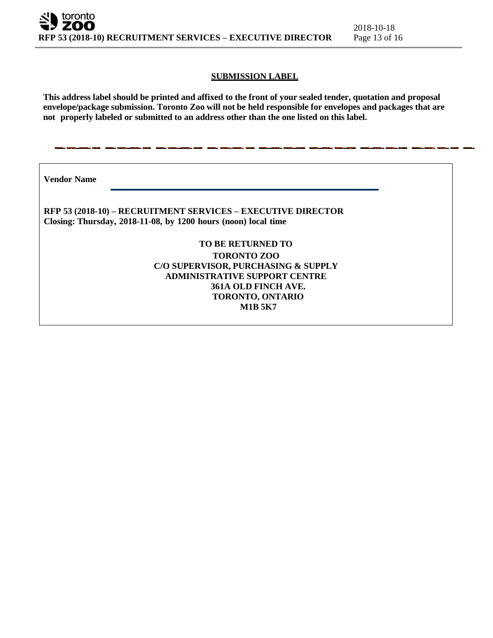#### **SUBMISSION LABEL**

This address label should be printed and affixed to the front of your sealed tender, quotation and proposal **envelope/package submission. Toronto Zoo will not be held responsible for envelopes and packages that are not properly labeled or submitted to an address other than the one listed on this label.**

**Vendor Name**

**RFP 53 (2018-10) – RECRUITMENT SERVICES – EXECUTIVE DIRECTOR Closing: Thursday, 2018-11-08, by 1200 hours (noon) local time**

> **TO BE RETURNED TO TORONTO ZOO C/O SUPERVISOR, PURCHASING & SUPPLY ADMINISTRATIVE SUPPORT CENTRE 361A OLD FINCH AVE. TORONTO, ONTARIO M1B 5K7**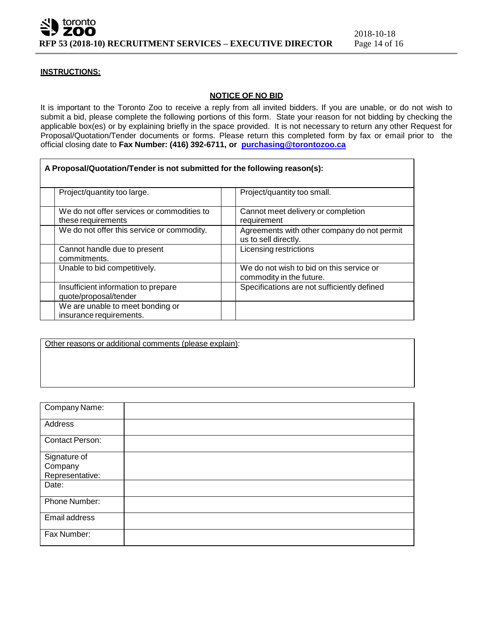

#### **INSTRUCTIONS:**

#### **NOTICE OF NO BID**

It is important to the Toronto Zoo to receive a reply from all invited bidders. If you are unable, or do not wish to submit a bid, please complete the following portions of this form. State your reason for not bidding by checking the applicable box(es) or by explaining briefly in the space provided. It is not necessary to return any other Request for Proposal/Quotation/Tender documents or forms. Please return this completed form by fax or email prior to the official closing date to **Fax Number: (416) 392-6711, or [purchasing@torontozoo.ca](mailto:purchasing@torontozoo.ca)**

|                                                              |                                            | A Proposal/Quotation/Tender is not submitted for the following reason(s): |
|--------------------------------------------------------------|--------------------------------------------|---------------------------------------------------------------------------|
| Project/quantity too large.                                  |                                            | Project/quantity too small.                                               |
| these requirements                                           | We do not offer services or commodities to | Cannot meet delivery or completion<br>requirement                         |
|                                                              | We do not offer this service or commodity. | Agreements with other company do not permit<br>us to sell directly.       |
| Cannot handle due to present<br>commitments.                 |                                            | Licensing restrictions                                                    |
| Unable to bid competitively.                                 |                                            | We do not wish to bid on this service or<br>commodity in the future.      |
| Insufficient information to prepare<br>quote/proposal/tender |                                            | Specifications are not sufficiently defined                               |
| We are unable to meet bonding or<br>insurance requirements.  |                                            |                                                                           |

Other reasons or additional comments (please explain):

| Company Name:          |  |
|------------------------|--|
| Address                |  |
| <b>Contact Person:</b> |  |
| Signature of           |  |
| Company                |  |
| Representative:        |  |
| Date:                  |  |
| Phone Number:          |  |
| Email address          |  |
| Fax Number:            |  |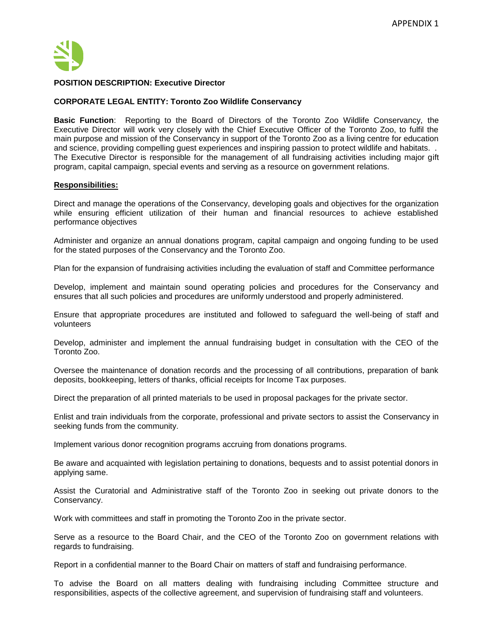

#### **POSITION DESCRIPTION: Executive Director**

#### **CORPORATE LEGAL ENTITY: Toronto Zoo Wildlife Conservancy**

**Basic Function**: Reporting to the Board of Directors of the Toronto Zoo Wildlife Conservancy, the Executive Director will work very closely with the Chief Executive Officer of the Toronto Zoo, to fulfil the main purpose and mission of the Conservancy in support of the Toronto Zoo as a living centre for education and science, providing compelling guest experiences and inspiring passion to protect wildlife and habitats. . The Executive Director is responsible for the management of all fundraising activities including major gift program, capital campaign, special events and serving as a resource on government relations.

#### **Responsibilities:**

Direct and manage the operations of the Conservancy, developing goals and objectives for the organization while ensuring efficient utilization of their human and financial resources to achieve established performance objectives

Administer and organize an annual donations program, capital campaign and ongoing funding to be used for the stated purposes of the Conservancy and the Toronto Zoo.

Plan for the expansion of fundraising activities including the evaluation of staff and Committee performance

Develop, implement and maintain sound operating policies and procedures for the Conservancy and ensures that all such policies and procedures are uniformly understood and properly administered.

Ensure that appropriate procedures are instituted and followed to safeguard the well-being of staff and volunteers

Develop, administer and implement the annual fundraising budget in consultation with the CEO of the Toronto Zoo.

Oversee the maintenance of donation records and the processing of all contributions, preparation of bank deposits, bookkeeping, letters of thanks, official receipts for Income Tax purposes.

Direct the preparation of all printed materials to be used in proposal packages for the private sector.

Enlist and train individuals from the corporate, professional and private sectors to assist the Conservancy in seeking funds from the community.

Implement various donor recognition programs accruing from donations programs.

Be aware and acquainted with legislation pertaining to donations, bequests and to assist potential donors in applying same.

Assist the Curatorial and Administrative staff of the Toronto Zoo in seeking out private donors to the Conservancy.

Work with committees and staff in promoting the Toronto Zoo in the private sector.

Serve as a resource to the Board Chair, and the CEO of the Toronto Zoo on government relations with regards to fundraising.

Report in a confidential manner to the Board Chair on matters of staff and fundraising performance.

To advise the Board on all matters dealing with fundraising including Committee structure and responsibilities, aspects of the collective agreement, and supervision of fundraising staff and volunteers.